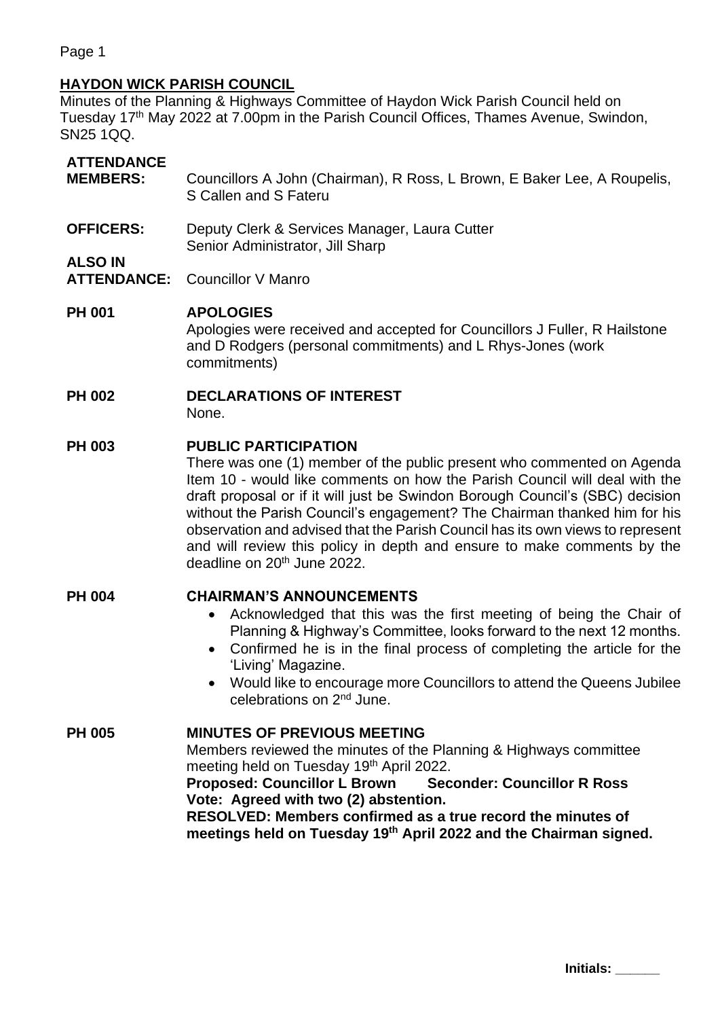Page 1

# **HAYDON WICK PARISH COUNCIL**

Minutes of the Planning & Highways Committee of Haydon Wick Parish Council held on Tuesday 17<sup>th</sup> May 2022 at 7.00pm in the Parish Council Offices, Thames Avenue, Swindon, SN25 1QQ.

# **ATTENDANCE**

- **MEMBERS:** Councillors A John (Chairman), R Ross, L Brown, E Baker Lee, A Roupelis, S Callen and S Fateru
- **OFFICERS:** Deputy Clerk & Services Manager, Laura Cutter Senior Administrator, Jill Sharp

## **ALSO IN**

**ATTENDANCE:** Councillor V Manro

#### **PH 001 APOLOGIES**

Apologies were received and accepted for Councillors J Fuller, R Hailstone and D Rodgers (personal commitments) and L Rhys-Jones (work commitments)

# **PH 002 DECLARATIONS OF INTEREST**

None.

#### **PH 003 PUBLIC PARTICIPATION**

There was one (1) member of the public present who commented on Agenda Item 10 - would like comments on how the Parish Council will deal with the draft proposal or if it will just be Swindon Borough Council's (SBC) decision without the Parish Council's engagement? The Chairman thanked him for his observation and advised that the Parish Council has its own views to represent and will review this policy in depth and ensure to make comments by the deadline on 20<sup>th</sup> June 2022.

#### **PH 004 CHAIRMAN'S ANNOUNCEMENTS**

- Acknowledged that this was the first meeting of being the Chair of Planning & Highway's Committee, looks forward to the next 12 months.
- Confirmed he is in the final process of completing the article for the 'Living' Magazine.
- Would like to encourage more Councillors to attend the Queens Jubilee celebrations on 2nd June.

#### **PH 005 MINUTES OF PREVIOUS MEETING**

Members reviewed the minutes of the Planning & Highways committee meeting held on Tuesday 19<sup>th</sup> April 2022.

**Proposed: Councillor L Brown Seconder: Councillor R Ross Vote: Agreed with two (2) abstention.**

**RESOLVED: Members confirmed as a true record the minutes of meetings held on Tuesday 19 th April 2022 and the Chairman signed.**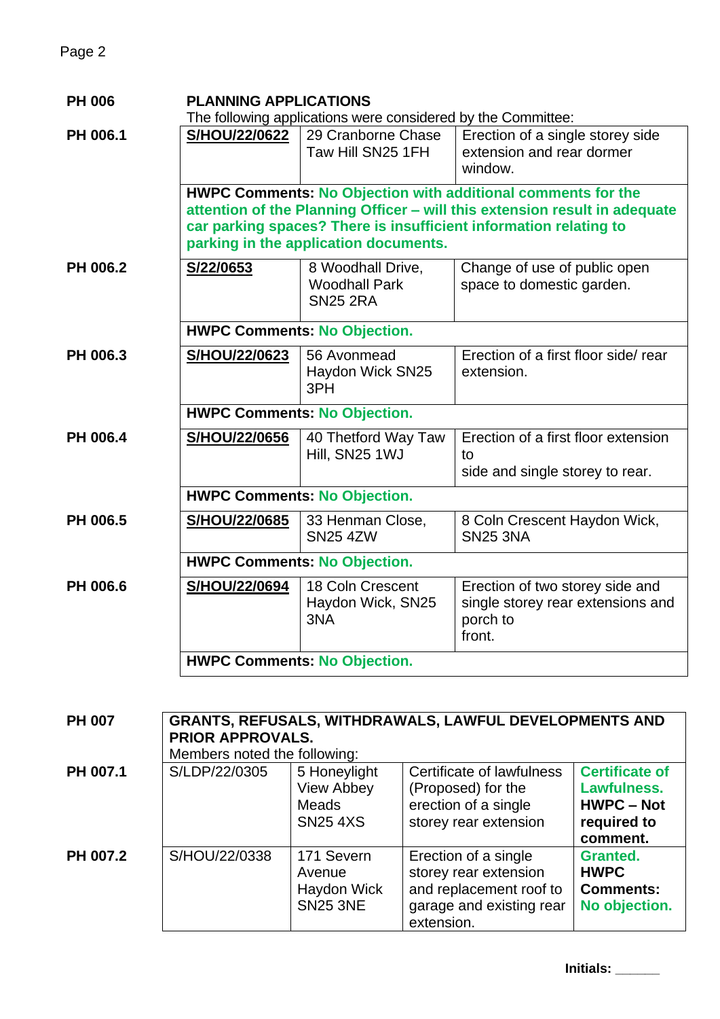| <b>PH 006</b> | <b>PLANNING APPLICATIONS</b>                                                                                                                                                                                                                                    |                                                              |                                                                                            |  |  |  |
|---------------|-----------------------------------------------------------------------------------------------------------------------------------------------------------------------------------------------------------------------------------------------------------------|--------------------------------------------------------------|--------------------------------------------------------------------------------------------|--|--|--|
|               | The following applications were considered by the Committee:                                                                                                                                                                                                    |                                                              |                                                                                            |  |  |  |
| PH 006.1      | S/HOU/22/0622                                                                                                                                                                                                                                                   | 29 Cranborne Chase<br>Taw Hill SN25 1FH                      | Erection of a single storey side<br>extension and rear dormer<br>window.                   |  |  |  |
|               | <b>HWPC Comments: No Objection with additional comments for the</b><br>attention of the Planning Officer - will this extension result in adequate<br>car parking spaces? There is insufficient information relating to<br>parking in the application documents. |                                                              |                                                                                            |  |  |  |
| PH 006.2      | S/22/0653                                                                                                                                                                                                                                                       | 8 Woodhall Drive,<br><b>Woodhall Park</b><br><b>SN25 2RA</b> | Change of use of public open<br>space to domestic garden.                                  |  |  |  |
|               | <b>HWPC Comments: No Objection.</b>                                                                                                                                                                                                                             |                                                              |                                                                                            |  |  |  |
| PH 006.3      | S/HOU/22/0623                                                                                                                                                                                                                                                   | 56 Avonmead<br>Haydon Wick SN25<br>3PH                       | Erection of a first floor side/ rear<br>extension.                                         |  |  |  |
|               | <b>HWPC Comments: No Objection.</b>                                                                                                                                                                                                                             |                                                              |                                                                                            |  |  |  |
| PH 006.4      | S/HOU/22/0656                                                                                                                                                                                                                                                   | 40 Thetford Way Taw<br>Hill, SN25 1WJ                        | Erection of a first floor extension<br>to<br>side and single storey to rear.               |  |  |  |
|               | <b>HWPC Comments: No Objection.</b>                                                                                                                                                                                                                             |                                                              |                                                                                            |  |  |  |
| PH 006.5      | S/HOU/22/0685                                                                                                                                                                                                                                                   | 33 Henman Close,<br><b>SN25 4ZW</b>                          | 8 Coln Crescent Haydon Wick,<br><b>SN25 3NA</b>                                            |  |  |  |
|               | <b>HWPC Comments: No Objection.</b>                                                                                                                                                                                                                             |                                                              |                                                                                            |  |  |  |
| PH 006.6      | S/HOU/22/0694                                                                                                                                                                                                                                                   | 18 Coln Crescent<br>Haydon Wick, SN25<br>3NA                 | Erection of two storey side and<br>single storey rear extensions and<br>porch to<br>front. |  |  |  |
|               | <b>HWPC Comments: No Objection.</b>                                                                                                                                                                                                                             |                                                              |                                                                                            |  |  |  |

| <b>PH 007</b> | <b>GRANTS, REFUSALS, WITHDRAWALS, LAWFUL DEVELOPMENTS AND</b><br><b>PRIOR APPROVALS.</b><br>Members noted the following: |                                                                      |                                                                                                                    |                                                                                      |  |  |
|---------------|--------------------------------------------------------------------------------------------------------------------------|----------------------------------------------------------------------|--------------------------------------------------------------------------------------------------------------------|--------------------------------------------------------------------------------------|--|--|
| PH 007.1      | S/LDP/22/0305                                                                                                            | 5 Honeylight<br><b>View Abbey</b><br><b>Meads</b><br><b>SN25 4XS</b> | Certificate of lawfulness<br>(Proposed) for the<br>erection of a single<br>storey rear extension                   | <b>Certificate of</b><br>Lawfulness.<br><b>HWPC – Not</b><br>required to<br>comment. |  |  |
| PH 007.2      | S/HOU/22/0338                                                                                                            | 171 Severn<br>Avenue<br>Haydon Wick<br><b>SN25 3NE</b>               | Erection of a single<br>storey rear extension<br>and replacement roof to<br>garage and existing rear<br>extension. | <b>Granted.</b><br><b>HWPC</b><br><b>Comments:</b><br>No objection.                  |  |  |

**Initials: \_\_\_\_\_\_**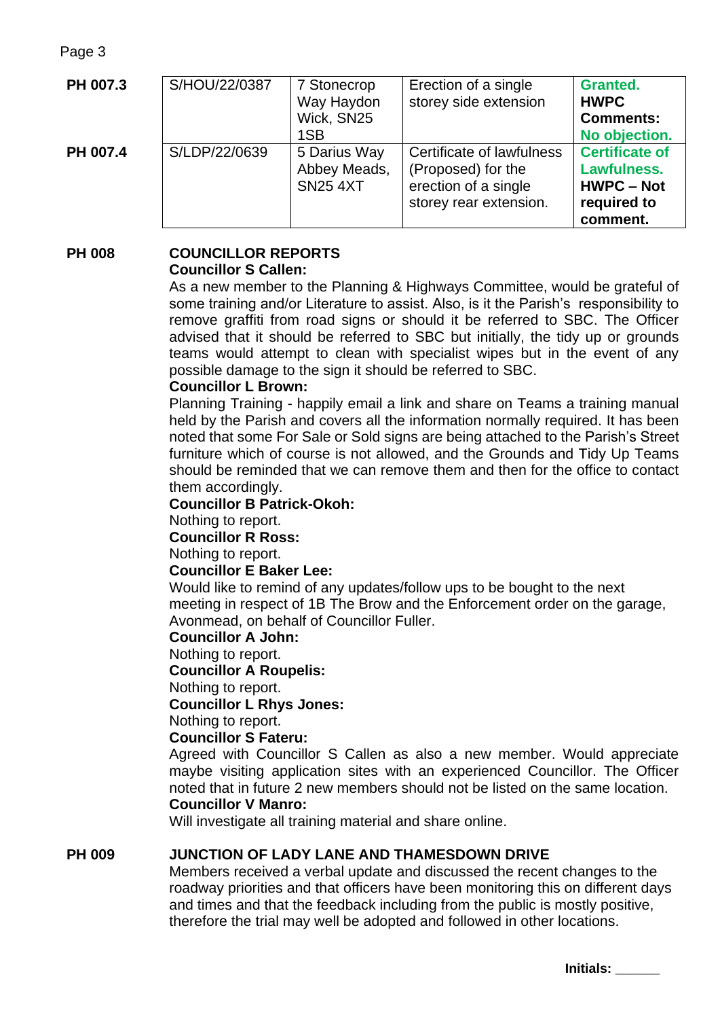Page 3

| PH 007.3 | S/HOU/22/0387 | 7 Stonecrop<br>Way Haydon<br>Wick, SN25<br>1SB  | Erection of a single<br>storey side extension                                                     | <b>Granted.</b><br><b>HWPC</b><br><b>Comments:</b><br>No objection.                  |
|----------|---------------|-------------------------------------------------|---------------------------------------------------------------------------------------------------|--------------------------------------------------------------------------------------|
| PH 007.4 | S/LDP/22/0639 | 5 Darius Way<br>Abbey Meads,<br><b>SN25 4XT</b> | Certificate of lawfulness<br>(Proposed) for the<br>erection of a single<br>storey rear extension. | <b>Certificate of</b><br>Lawfulness.<br><b>HWPC – Not</b><br>required to<br>comment. |

#### **PH 008 COUNCILLOR REPORTS Councillor S Callen:**

As a new member to the Planning & Highways Committee, would be grateful of some training and/or Literature to assist. Also, is it the Parish's responsibility to remove graffiti from road signs or should it be referred to SBC. The Officer advised that it should be referred to SBC but initially, the tidy up or grounds teams would attempt to clean with specialist wipes but in the event of any possible damage to the sign it should be referred to SBC.

## **Councillor L Brown:**

Planning Training - happily email a link and share on Teams a training manual held by the Parish and covers all the information normally required. It has been noted that some For Sale or Sold signs are being attached to the Parish's Street furniture which of course is not allowed, and the Grounds and Tidy Up Teams should be reminded that we can remove them and then for the office to contact them accordingly.

#### **Councillor B Patrick-Okoh:**

Nothing to report.

**Councillor R Ross:** 

Nothing to report.

#### **Councillor E Baker Lee:**

Would like to remind of any updates/follow ups to be bought to the next meeting in respect of 1B The Brow and the Enforcement order on the garage, Avonmead, on behalf of Councillor Fuller.

**Councillor A John:**

#### Nothing to report.

**Councillor A Roupelis:**

Nothing to report.

**Councillor L Rhys Jones:**

Nothing to report.

#### **Councillor S Fateru:**

Agreed with Councillor S Callen as also a new member. Would appreciate maybe visiting application sites with an experienced Councillor. The Officer noted that in future 2 new members should not be listed on the same location. **Councillor V Manro:**

Will investigate all training material and share online.

#### **PH 009 JUNCTION OF LADY LANE AND THAMESDOWN DRIVE**

Members received a verbal update and discussed the recent changes to the roadway priorities and that officers have been monitoring this on different days and times and that the feedback including from the public is mostly positive, therefore the trial may well be adopted and followed in other locations.

**Initials: \_\_\_\_\_\_**